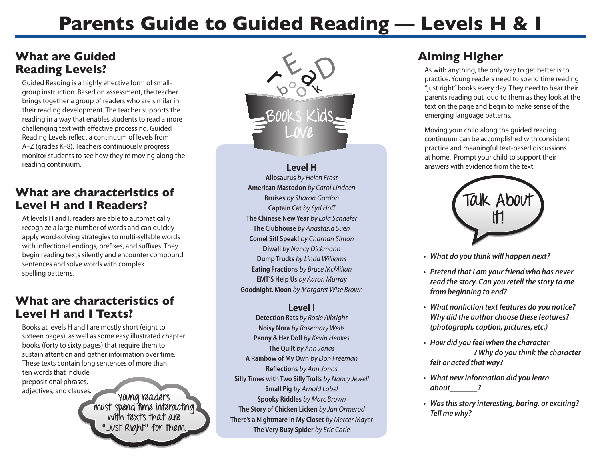# **Parents Guide to Guided Reading — Levels H & I**

## **What are Guided Reading Levels?**

Guided Reading is a highly effective form of smallgroup instruction. Based on assessment, the teacher brings together a group of readers who are similar in their reading development. The teacher supports the reading in a way that enables students to read a more challenging text with effective processing. Guided Reading Levels reflect a continuum of levels from A–Z (grades K–8). Teachers continuously progress monitor students to see how they're moving along the reading continuum.

## **What are characteristics of Level H and I Readers?**

At levels H and I, readers are able to automatically recognize a large number of words and can quickly apply word-solving strategies to multi-syllable words with inflectional endings, prefixes, and suffixes. They begin reading texts silently and encounter compound sentences and solve words with complex spelling patterns.

### **What are characteristics of Level H and I Texts?**

Books at levels H and I are mostly short (eight to sixteen pages), as well as some easy illustrated chapter books (forty to sixty pages) that require them to sustain attention and gather information over time. These texts contain long sentences of more than ten words that include prepositional phrases, adjectives, and clauses.

**Young readers must spend time interacting with texts that are "Just Right" for them.** 



**Level H Allosaurus** *by Helen Frost*  **American Mastodon** *by Carol Lindeen*  **Bruises** *by Sharon Gordon*  **Captain Cat** *by Syd Hoff*  **The Chinese New Year** *by Lola Schaefer*  **The Clubhouse** *by Anastasia Suen*  **Come! Sit! Speak!** *by Charnan Simon* **Diwali** *by Nancy Dickmann*  **Dump Trucks** *by Linda Williams*  **Eating Fractions** *by Bruce McMillan*  **EMT'S Help Us** *by Aaron Murray* **Goodnight, Moon** *by Margaret Wise Brown* 

#### **Level I**

**Detection Rats** *by Rosie Albright* **Noisy Nora** *by Rosemary Wells*  **Penny & Her Doll** *by Kevin Henkes*  **The Quilt** *by Ann Jonas*  **A Rainbow of My Own** *by Don Freeman*  **Reflections** *by Ann Jonas*  **Silly Times with Two Silly Trolls** *by Nancy Jewell*  **Small Pig** *by Arnold Lobel*  **Spooky Riddles** *by Marc Brown*  **The Story of Chicken Licken** *by Jan Ormerod*  **There's a Nightmare in My Closet** *by Mercer Mayer*  **The Very Busy Spider** *by Eric Carle* 

# **Aiming Higher**

As with anything, the only way to get better is to practice. Young readers need to spend time reading "just right" books every day. They need to hear their parents reading out loud to them as they look at the text on the page and begin to make sense of the emerging language patterns.

Moving your child along the guided reading continuum can be accomplished with consistent practice and meaningful text-based discussions at home. Prompt your child to support their answers with evidence from the text.



- **• What do you think will happen next?**
- **• Pretend that I am your friend who has never read the story. Can you retell the story to me from beginning to end?**
- **• What nonfiction text features do you notice? Why did the author choose these features? (photograph, caption, pictures, etc.)**
- **• How did you feel when the character \_\_\_\_\_\_\_\_\_\_\_? Why do you think the character felt or acted that way?**
- **• What new information did you learn about\_\_\_\_\_\_\_?**
- **• Wasthisstory interesting, boring, or exciting? Tell me why?**